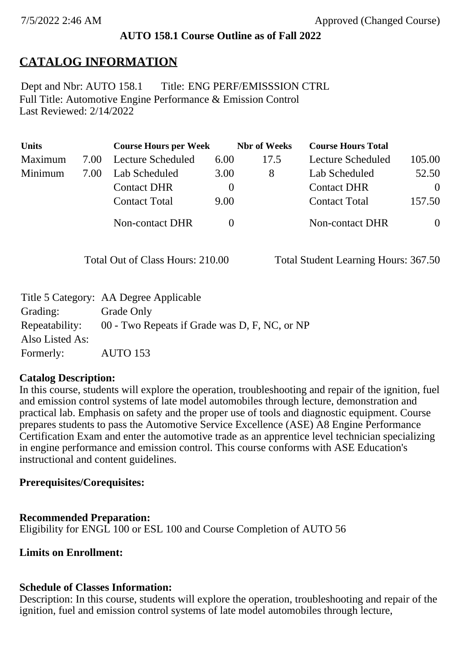## **AUTO 158.1 Course Outline as of Fall 2022**

# **CATALOG INFORMATION**

Full Title: Automotive Engine Performance & Emission Control Last Reviewed: 2/14/2022 Dept and Nbr: AUTO 158.1 Title: ENG PERF/EMISSSION CTRL

| <b>Units</b> |      | <b>Course Hours per Week</b> |          | <b>Nbr</b> of Weeks | <b>Course Hours Total</b> |                |
|--------------|------|------------------------------|----------|---------------------|---------------------------|----------------|
| Maximum      | 7.00 | <b>Lecture Scheduled</b>     | 6.00     | 17.5                | Lecture Scheduled         | 105.00         |
| Minimum      | 7.00 | Lab Scheduled                | 3.00     | 8                   | Lab Scheduled             | 52.50          |
|              |      | <b>Contact DHR</b>           | $\theta$ |                     | <b>Contact DHR</b>        | $\Omega$       |
|              |      | <b>Contact Total</b>         | 9.00     |                     | <b>Contact Total</b>      | 157.50         |
|              |      | Non-contact DHR              |          |                     | Non-contact DHR           | $\overline{0}$ |

Total Out of Class Hours: 210.00 Total Student Learning Hours: 367.50

|                 | Title 5 Category: AA Degree Applicable                       |
|-----------------|--------------------------------------------------------------|
| Grading:        | Grade Only                                                   |
|                 | Repeatability: 00 - Two Repeats if Grade was D, F, NC, or NP |
| Also Listed As: |                                                              |
| Formerly:       | <b>AUTO 153</b>                                              |

#### **Catalog Description:**

In this course, students will explore the operation, troubleshooting and repair of the ignition, fuel and emission control systems of late model automobiles through lecture, demonstration and practical lab. Emphasis on safety and the proper use of tools and diagnostic equipment. Course prepares students to pass the Automotive Service Excellence (ASE) A8 Engine Performance Certification Exam and enter the automotive trade as an apprentice level technician specializing in engine performance and emission control. This course conforms with ASE Education's instructional and content guidelines.

#### **Prerequisites/Corequisites:**

#### **Recommended Preparation:**

Eligibility for ENGL 100 or ESL 100 and Course Completion of AUTO 56

#### **Limits on Enrollment:**

#### **Schedule of Classes Information:**

Description: In this course, students will explore the operation, troubleshooting and repair of the ignition, fuel and emission control systems of late model automobiles through lecture,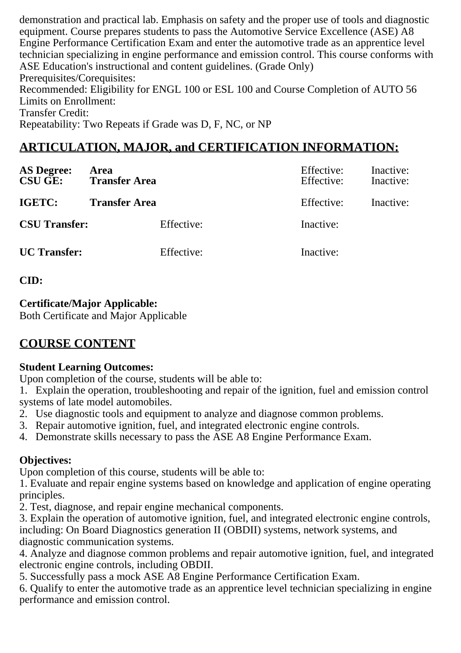demonstration and practical lab. Emphasis on safety and the proper use of tools and diagnostic equipment. Course prepares students to pass the Automotive Service Excellence (ASE) A8 Engine Performance Certification Exam and enter the automotive trade as an apprentice level technician specializing in engine performance and emission control. This course conforms with ASE Education's instructional and content guidelines. (Grade Only) Prerequisites/Corequisites: Recommended: Eligibility for ENGL 100 or ESL 100 and Course Completion of AUTO 56 Limits on Enrollment: Transfer Credit: Repeatability: Two Repeats if Grade was D, F, NC, or NP

# **ARTICULATION, MAJOR, and CERTIFICATION INFORMATION:**

| <b>AS Degree:</b><br><b>CSU GE:</b> | Area<br><b>Transfer Area</b> | Effective:<br>Effective: | Inactive:<br>Inactive: |
|-------------------------------------|------------------------------|--------------------------|------------------------|
| IGETC:                              | <b>Transfer Area</b>         | Effective:               | Inactive:              |
| <b>CSU Transfer:</b>                | Effective:                   | Inactive:                |                        |
| <b>UC</b> Transfer:                 | Effective:                   | Inactive:                |                        |

**CID:**

## **Certificate/Major Applicable:**

[Both Certificate and Major Applicable](SR_ClassCheck.aspx?CourseKey=AUTO158.1)

# **COURSE CONTENT**

## **Student Learning Outcomes:**

Upon completion of the course, students will be able to:

1. Explain the operation, troubleshooting and repair of the ignition, fuel and emission control systems of late model automobiles.

- 2. Use diagnostic tools and equipment to analyze and diagnose common problems.
- 3. Repair automotive ignition, fuel, and integrated electronic engine controls.
- 4. Demonstrate skills necessary to pass the ASE A8 Engine Performance Exam.

## **Objectives:**

Upon completion of this course, students will be able to:

1. Evaluate and repair engine systems based on knowledge and application of engine operating principles.

2. Test, diagnose, and repair engine mechanical components.

3. Explain the operation of automotive ignition, fuel, and integrated electronic engine controls, including: On Board Diagnostics generation II (OBDII) systems, network systems, and diagnostic communication systems.

4. Analyze and diagnose common problems and repair automotive ignition, fuel, and integrated electronic engine controls, including OBDII.

5. Successfully pass a mock ASE A8 Engine Performance Certification Exam.

6. Qualify to enter the automotive trade as an apprentice level technician specializing in engine performance and emission control.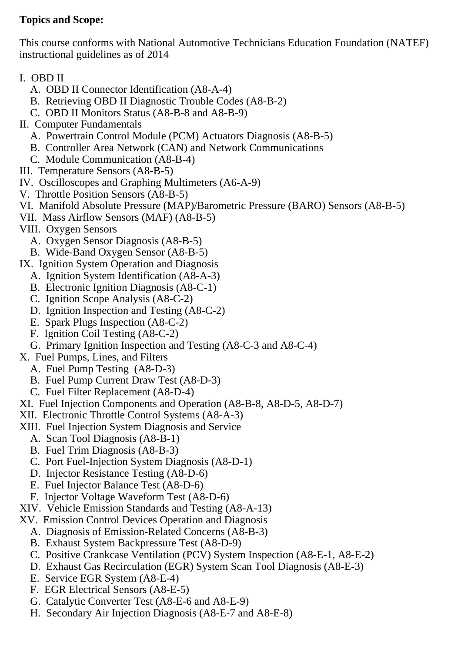## **Topics and Scope:**

This course conforms with National Automotive Technicians Education Foundation (NATEF) instructional guidelines as of 2014

- I. OBD II
	- A. OBD II Connector Identification (A8-A-4)
	- B. Retrieving OBD II Diagnostic Trouble Codes (A8-B-2)
	- C. OBD II Monitors Status (A8-B-8 and A8-B-9)
- II. Computer Fundamentals
	- A. Powertrain Control Module (PCM) Actuators Diagnosis (A8-B-5)
	- B. Controller Area Network (CAN) and Network Communications
	- C. Module Communication (A8-B-4)
- III. Temperature Sensors (A8-B-5)
- IV. Oscilloscopes and Graphing Multimeters (A6-A-9)
- V. Throttle Position Sensors (A8-B-5)
- VI. Manifold Absolute Pressure (MAP)/Barometric Pressure (BARO) Sensors (A8-B-5)
- VII. Mass Airflow Sensors (MAF) (A8-B-5)
- VIII. Oxygen Sensors
	- A. Oxygen Sensor Diagnosis (A8-B-5)
	- B. Wide-Band Oxygen Sensor (A8-B-5)
- IX. Ignition System Operation and Diagnosis
	- A. Ignition System Identification (A8-A-3)
	- B. Electronic Ignition Diagnosis (A8-C-1)
	- C. Ignition Scope Analysis (A8-C-2)
	- D. Ignition Inspection and Testing (A8-C-2)
	- E. Spark Plugs Inspection (A8-C-2)
	- F. Ignition Coil Testing (A8-C-2)
	- G. Primary Ignition Inspection and Testing (A8-C-3 and A8-C-4)
- X. Fuel Pumps, Lines, and Filters
	- A. Fuel Pump Testing (A8-D-3)
	- B. Fuel Pump Current Draw Test (A8-D-3)
	- C. Fuel Filter Replacement (A8-D-4)
- XI. Fuel Injection Components and Operation (A8-B-8, A8-D-5, A8-D-7)
- XII. Electronic Throttle Control Systems (A8-A-3)
- XIII. Fuel Injection System Diagnosis and Service
	- A. Scan Tool Diagnosis (A8-B-1)
	- B. Fuel Trim Diagnosis (A8-B-3)
	- C. Port Fuel-Injection System Diagnosis (A8-D-1)
	- D. Injector Resistance Testing (A8-D-6)
	- E. Fuel Injector Balance Test (A8-D-6)
	- F. Injector Voltage Waveform Test (A8-D-6)
- XIV. Vehicle Emission Standards and Testing (A8-A-13)
- XV. Emission Control Devices Operation and Diagnosis
	- A. Diagnosis of Emission-Related Concerns (A8-B-3)
	- B. Exhaust System Backpressure Test (A8-D-9)
	- C. Positive Crankcase Ventilation (PCV) System Inspection (A8-E-1, A8-E-2)
	- D. Exhaust Gas Recirculation (EGR) System Scan Tool Diagnosis (A8-E-3)
	- E. Service EGR System (A8-E-4)
	- F. EGR Electrical Sensors (A8-E-5)
	- G. Catalytic Converter Test (A8-E-6 and A8-E-9)
	- H. Secondary Air Injection Diagnosis (A8-E-7 and A8-E-8)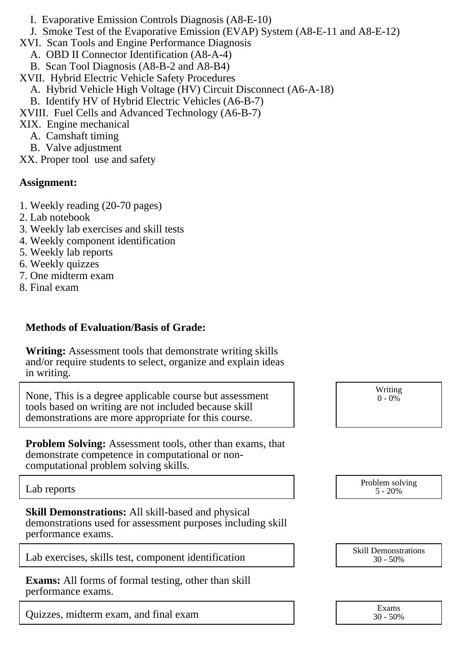- I. Evaporative Emission Controls Diagnosis (A8-E-10)
- J. Smoke Test of the Evaporative Emission (EVAP) System (A8-E-11 and A8-E-12)
- XVI. Scan Tools and Engine Performance Diagnosis
	- A. OBD II Connector Identification (A8-A-4)
	- B. Scan Tool Diagnosis (A8-B-2 and A8-B4)
- XVII. Hybrid Electric Vehicle Safety Procedures
	- A. Hybrid Vehicle High Voltage (HV) Circuit Disconnect (A6-A-18)
	- B. Identify HV of Hybrid Electric Vehicles (A6-B-7)
- XVIII. Fuel Cells and Advanced Technology (A6-B-7)
- XIX. Engine mechanical
	- A. Camshaft timing
	- B. Valve adjustment
- XX. Proper tool use and safety

#### **Assignment:**

- 1. Weekly reading (20-70 pages)
- 2. Lab notebook
- 3. Weekly lab exercises and skill tests
- 4. Weekly component identification
- 5. Weekly lab reports
- 6. Weekly quizzes
- 7. One midterm exam
- 8. Final exam

## **Methods of Evaluation/Basis of Grade:**

**Writing:** Assessment tools that demonstrate writing skills and/or require students to select, organize and explain ideas in writing.

None, This is a degree applicable course but assessment tools based on writing are not included because skill demonstrations are more appropriate for this course.

**Problem Solving:** Assessment tools, other than exams, that demonstrate competence in computational or noncomputational problem solving skills.

**Skill Demonstrations:** All skill-based and physical demonstrations used for assessment purposes including skill performance exams.

Lab exercises, skills test, component identification Skill Demonstrations Skill Demonstrations

**Exams:** All forms of formal testing, other than skill performance exams.

Quizzes, midterm exam, and final exam Exam Exams

Writing  $0 - 0\%$ 

Lab reports Problem solving the problem solving the problem solving the problem solving the Problem solving the  $5-20\%$ 5 - 20%

30 - 50%

30 - 50%